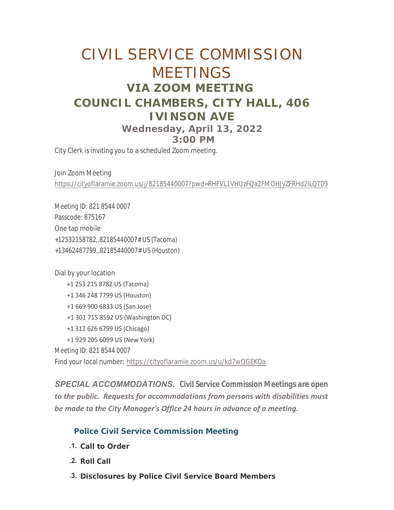# CIVIL SERVICE COMMISSION MEETINGS **VIA ZOOM MEETING COUNCIL CHAMBERS, CITY HALL, 406 IVINSON AVE Wednesday, April 13, 2022 3:00 PM**

City Clerk is inviting you to a scheduled Zoom meeting.

Join Zoom Meeting <https://cityoflaramie.zoom.us/j/82185440007?pwd=RHFVL1VHUzFQa2FMOHJyZFRHd2lLQT09>

Meeting ID: 821 8544 0007 Passcode: 875167 One tap mobile +12532158782,,82185440007# US (Tacoma) +13462487799,,82185440007# US (Houston)

Dial by your location

 +1 253 215 8782 US (Tacoma) +1 346 248 7799 US (Houston) +1 669 900 6833 US (San Jose) +1 301 715 8592 US (Washington DC) +1 312 626 6799 US (Chicago) +1 929 205 6099 US (New York) Meeting ID: 821 8544 0007 Find your local number: <https://cityoflaramie.zoom.us/u/kd7wOGEKDa>

*SPECIAL ACCOMMODATIONS. Civil Service Commission Meetings are open to the public. Requests for accommodations from persons with disabilities must be made to the City Manager's Office 24 hours in advance of a meeting.* 

# **Police Civil Service Commission Meeting**

- **Call to Order .1.**
- **Roll Call .2.**
- **Disclosures by Police Civil Service Board Members .3.**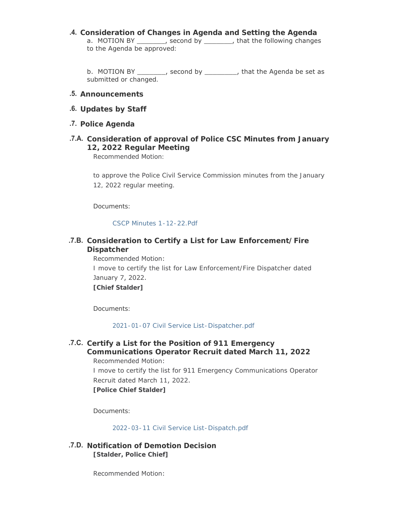**Consideration of Changes in Agenda and Setting the Agenda .4.** a. MOTION BY \_\_\_\_\_\_\_, second by \_\_\_\_\_\_\_, that the following changes to the Agenda be approved:

b. MOTION BY \_\_\_\_\_\_\_, second by \_\_\_\_\_\_\_\_, that the Agenda be set as submitted or changed.

- **Announcements .5.**
- **Updates by Staff .6.**
- **Police Agenda .7.**
- **Consideration of approval of Police CSC Minutes from January .7.A. 12, 2022 Regular Meeting**

Recommended Motion:

to approve the Police Civil Service Commission minutes from the January 12, 2022 regular meeting.

Documents:

[CSCP Minutes 1-12-22.Pdf](https://www.cityoflaramie.org/AgendaCenter/ViewFile/Item/12081?fileID=16711)

## **Consideration to Certify a List for Law Enforcement/Fire .7.B. Dispatcher**

Recommended Motion: I move to certify the list for Law Enforcement/Fire Dispatcher dated January 7, 2022. **[Chief Stalder]**

Documents:

[2021-01-07 Civil Service List-Dispatcher.pdf](https://www.cityoflaramie.org/AgendaCenter/ViewFile/Item/11751?fileID=15852)

#### **Certify a List for the Position of 911 Emergency .7.C. Communications Operator Recruit dated March 11, 2022** Recommended Motion:

I move to certify the list for 911 Emergency Communications Operator Recruit dated March 11, 2022. **[Police Chief Stalder]**

Documents:

[2022-03-11 Civil Service List-Dispatch.pdf](https://www.cityoflaramie.org/AgendaCenter/ViewFile/Item/12095?fileID=16406)

**Notification of Demotion Decision .7.D. [Stalder, Police Chief]**

Recommended Motion: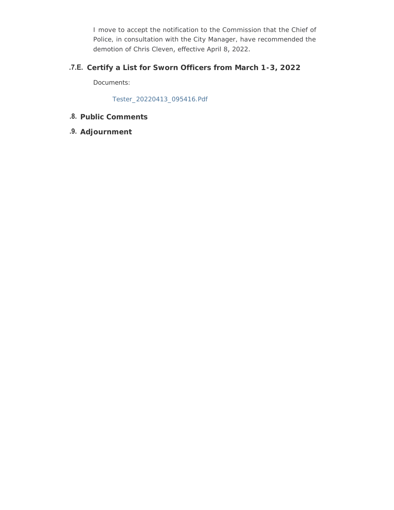I move to accept the notification to the Commission that the Chief of Police, in consultation with the City Manager, have recommended the demotion of Chris Cleven, effective April 8, 2022.

## **Certify a List for Sworn Officers from March 1-3, 2022 .7.E.**

Documents:

[Tester\\_20220413\\_095416.Pdf](https://www.cityoflaramie.org/AgendaCenter/ViewFile/Item/12249?fileID=16828)

# **Public Comments .8.**

**Adjournment .9.**